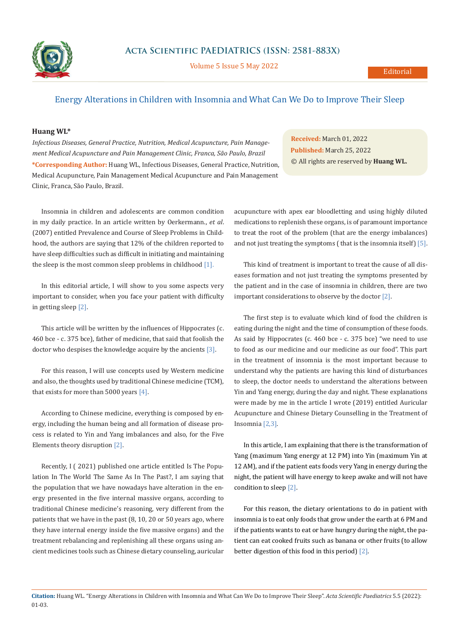

Volume 5 Issue 5 May 2022

## Energy Alterations in Children with Insomnia and What Can We Do to Improve Their Sleep

## **Huang WL\***

*Infectious Diseases, General Practice, Nutrition, Medical Acupuncture, Pain Management Medical Acupuncture and Pain Management Clinic, Franca, São Paulo, Brazil* **\*Corresponding Author:** Huang WL, Infectious Diseases, General Practice, Nutrition, Medical Acupuncture, Pain Management Medical Acupuncture and Pain Management Clinic, Franca, São Paulo, Brazil.

**Received:** March 01, 2022 **Published:** March 25, 2022 © All rights are reserved by **Huang WL.**

Insomnia in children and adolescents are common condition in my daily practice. In an article written by Oerkermann., *et al*. (2007) entitled Prevalence and Course of Sleep Problems in Childhood, the authors are saying that 12% of the children reported to have sleep difficulties such as difficult in initiating and maintaining the sleep is the most common sleep problems in childhood [1].

In this editorial article, I will show to you some aspects very important to consider, when you face your patient with difficulty in getting sleep [2].

This article will be written by the influences of Hippocrates (c. 460 bce - c. 375 bce), father of medicine, that said that foolish the doctor who despises the knowledge acquire by the ancients [3].

For this reason, I will use concepts used by Western medicine and also, the thoughts used by traditional Chinese medicine (TCM), that exists for more than 5000 years [4].

According to Chinese medicine, everything is composed by energy, including the human being and all formation of disease process is related to Yin and Yang imbalances and also, for the Five Elements theory disruption [2].

Recently, I ( 2021) published one article entitled Is The Population In The World The Same As In The Past?, I am saying that the population that we have nowadays have alteration in the energy presented in the five internal massive organs, according to traditional Chinese medicine's reasoning, very different from the patients that we have in the past (8, 10, 20 or 50 years ago, where they have internal energy inside the five massive organs) and the treatment rebalancing and replenishing all these organs using ancient medicines tools such as Chinese dietary counseling, auricular

acupuncture with apex ear bloodletting and using highly diluted medications to replenish these organs, is of paramount importance to treat the root of the problem (that are the energy imbalances) and not just treating the symptoms ( that is the insomnia itself) [5].

This kind of treatment is important to treat the cause of all diseases formation and not just treating the symptoms presented by the patient and in the case of insomnia in children, there are two important considerations to observe by the doctor [2].

The first step is to evaluate which kind of food the children is eating during the night and the time of consumption of these foods. As said by Hippocrates (c. 460 bce - c. 375 bce) "we need to use to food as our medicine and our medicine as our food". This part in the treatment of insomnia is the most important because to understand why the patients are having this kind of disturbances to sleep, the doctor needs to understand the alterations between Yin and Yang energy, during the day and night. These explanations were made by me in the article I wrote (2019) entitled Auricular Acupuncture and Chinese Dietary Counselling in the Treatment of Insomnia [2,3].

In this article, I am explaining that there is the transformation of Yang (maximum Yang energy at 12 PM) into Yin (maximum Yin at 12 AM), and if the patient eats foods very Yang in energy during the night, the patient will have energy to keep awake and will not have condition to sleep [2].

For this reason, the dietary orientations to do in patient with insomnia is to eat only foods that grow under the earth at 6 PM and if the patients wants to eat or have hungry during the night, the patient can eat cooked fruits such as banana or other fruits (to allow better digestion of this food in this period) [2].

**Citation:** Huang WL*.* "Energy Alterations in Children with Insomnia and What Can We Do to Improve Their Sleep". *Acta Scientific Paediatrics* 5.5 (2022): 01-03.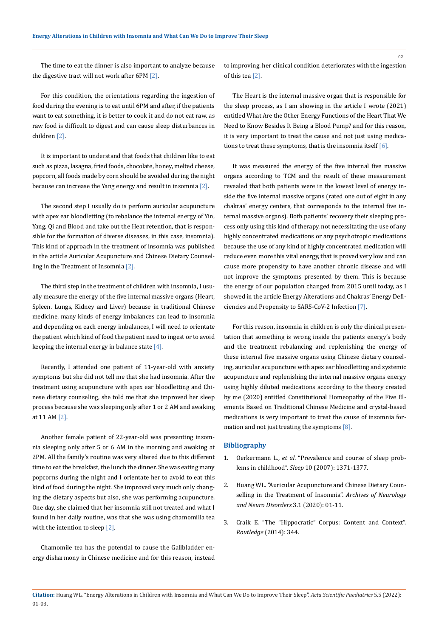The time to eat the dinner is also important to analyze because the digestive tract will not work after 6PM [2].

For this condition, the orientations regarding the ingestion of food during the evening is to eat until 6PM and after, if the patients want to eat something, it is better to cook it and do not eat raw, as raw food is difficult to digest and can cause sleep disturbances in children [2].

It is important to understand that foods that children like to eat such as pizza, lasagna, fried foods, chocolate, honey, melted cheese, popcorn, all foods made by corn should be avoided during the night because can increase the Yang energy and result in insomnia [2].

The second step I usually do is perform auricular acupuncture with apex ear bloodletting (to rebalance the internal energy of Yin, Yang, Qi and Blood and take out the Heat retention, that is responsible for the formation of diverse diseases, in this case, insomnia). This kind of approach in the treatment of insomnia was published in the article Auricular Acupuncture and Chinese Dietary Counselling in the Treatment of Insomnia [2].

The third step in the treatment of children with insomnia, I usually measure the energy of the five internal massive organs (Heart, Spleen. Lungs, Kidney and Liver) because in traditional Chinese medicine, many kinds of energy imbalances can lead to insomnia and depending on each energy imbalances, I will need to orientate the patient which kind of food the patient need to ingest or to avoid keeping the internal energy in balance state [4].

Recently, I attended one patient of 11-year-old with anxiety symptoms but she did not tell me that she had insomnia. After the treatment using acupuncture with apex ear bloodletting and Chinese dietary counseling, she told me that she improved her sleep process because she was sleeping only after 1 or 2 AM and awaking at 11 AM [2].

Another female patient of 22-year-old was presenting insomnia sleeping only after 5 or 6 AM in the morning and awaking at 2PM. All the family's routine was very altered due to this different time to eat the breakfast, the lunch the dinner. She was eating many popcorns during the night and I orientate her to avoid to eat this kind of food during the night. She improved very much only changing the dietary aspects but also, she was performing acupuncture. One day, she claimed that her insomnia still not treated and what I found in her daily routine, was that she was using chamomilla tea with the intention to sleep [2].

Chamomile tea has the potential to cause the Gallbladder energy disharmony in Chinese medicine and for this reason, instead to improving, her clinical condition deteriorates with the ingestion of this tea [2].

The Heart is the internal massive organ that is responsible for the sleep process, as I am showing in the article I wrote (2021) entitled What Are the Other Energy Functions of the Heart That We Need to Know Besides It Being a Blood Pump? and for this reason, it is very important to treat the cause and not just using medications to treat these symptoms, that is the insomnia itself  $[6]$ .

It was measured the energy of the five internal five massive organs according to TCM and the result of these measurement revealed that both patients were in the lowest level of energy inside the five internal massive organs (rated one out of eight in any chakras' energy centers, that corresponds to the internal five internal massive organs). Both patients' recovery their sleeping process only using this kind of therapy, not necessitating the use of any highly concentrated medications or any psychotropic medications because the use of any kind of highly concentrated medication will reduce even more this vital energy, that is proved very low and can cause more propensity to have another chronic disease and will not improve the symptoms presented by them. This is because the energy of our population changed from 2015 until today, as I showed in the article Energy Alterations and Chakras' Energy Deficiencies and Propensity to SARS-CoV-2 Infection [7].

For this reason, insomnia in children is only the clinical presentation that something is wrong inside the patients energy's body and the treatment rebalancing and replenishing the energy of these internal five massive organs using Chinese dietary counseling, auricular acupuncture with apex ear bloodletting and systemic acupuncture and replenishing the internal massive organs energy using highly diluted medications according to the theory created by me (2020) entitled Constitutional Homeopathy of the Five Elements Based on Traditional Chinese Medicine and crystal-based medications is very important to treat the cause of insomnia formation and not just treating the symptoms [8].

## **Bibliography**

- 1. Oerkermann L., *et al*[. "Prevalence and course of sleep prob](https://pubmed.ncbi.nlm.nih.gov/17969471/)lems in childhood". *Sleep* [10 \(2007\): 1371-1377.](https://pubmed.ncbi.nlm.nih.gov/17969471/)
- 2. [Huang WL. "Auricular Acupuncture and Chinese Dietary Coun](https://www.researchgate.net/publication/352367639_Auricular_Acupuncture_and_Chinese_Dietary_Counselling_in_the_Treatment_of_Insomnia)[selling in the Treatment of Insomnia".](https://www.researchgate.net/publication/352367639_Auricular_Acupuncture_and_Chinese_Dietary_Counselling_in_the_Treatment_of_Insomnia) *Archives of Neurology [and Neuro Disorders](https://www.researchgate.net/publication/352367639_Auricular_Acupuncture_and_Chinese_Dietary_Counselling_in_the_Treatment_of_Insomnia)* 3.1 (2020): 01-11.
- 3. [Craik E. "The "Hippocratic" Corpus: Content and Context".](https://www.routledge.com/The-Hippocratic-Corpus-Content-and-Context/Craik/p/book/9781138021716) *Routledge* [\(2014\): 344.](https://www.routledge.com/The-Hippocratic-Corpus-Content-and-Context/Craik/p/book/9781138021716)

02

**Citation:** Huang WL*.* "Energy Alterations in Children with Insomnia and What Can We Do to Improve Their Sleep". *Acta Scientific Paediatrics* 5.5 (2022): 01-03.